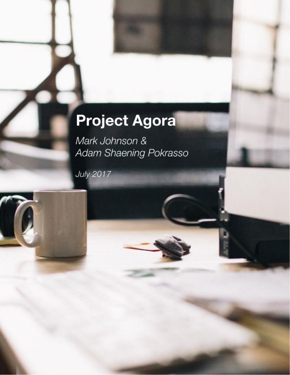# Project Agora

Mark Johnson & Adam Shaening Pokrasso

**July 2017**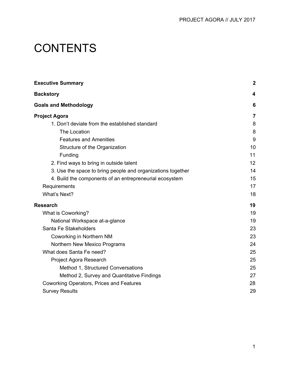# **CONTENTS**

| <b>Executive Summary</b>                                    | $\boldsymbol{2}$        |
|-------------------------------------------------------------|-------------------------|
| <b>Backstory</b>                                            | $\overline{\mathbf{4}}$ |
| <b>Goals and Methodology</b>                                | 6                       |
| <b>Project Agora</b>                                        | $\overline{7}$          |
| 1. Don't deviate from the established standard              | 8                       |
| The Location                                                | 8                       |
| <b>Features and Amenities</b>                               | 9                       |
| Structure of the Organization                               | 10                      |
| Funding                                                     | 11                      |
| 2. Find ways to bring in outside talent                     | 12                      |
| 3. Use the space to bring people and organizations together | 14                      |
| 4. Build the components of an entrepreneurial ecosystem     | 15                      |
| Requirements                                                | 17                      |
| What's Next?                                                | 18                      |
| <b>Research</b>                                             | 19                      |
| What is Coworking?                                          | 19                      |
| National Workspace at-a-glance                              | 19                      |
| Santa Fe Stakeholders                                       | 23                      |
| Coworking in Northern NM                                    | 23                      |
| Northern New Mexico Programs                                | 24                      |
| What does Santa Fe need?                                    | 25                      |
| Project Agora Research                                      | 25                      |
| Method 1, Structured Conversations                          | 25                      |
| Method 2, Survey and Quantitative Findings                  | 27                      |
| Coworking Operators, Prices and Features                    | 28                      |
| <b>Survey Results</b>                                       | 29                      |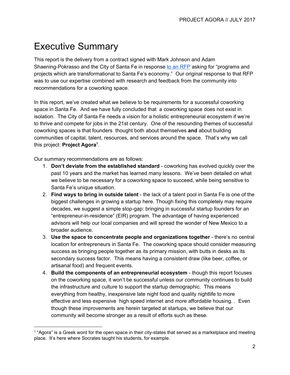# <span id="page-2-0"></span>Executive Summary

This report is the delivery from a contract signed with Mark Johnson and Adam Shaening-Pokrasso and the City of Santa Fe in response to an [RFP](http://www.santafenm.gov/media/rfps_docs/1638P.pdf) asking for "programs and projects which are transformational to Santa Fe's economy." Our original response to that RFP was to use our expertise combined with research and feedback from the community into recommendations for a coworking space.

In this report, we've created what we believe to be requirements for a successful coworking space in Santa Fe. And we have fully concluded that a coworking space does not exist in isolation. The City of Santa Fe needs a vision for a holistic entrepreneurial ecosystem if we're to thrive and compete for jobs in the 21st century. One of the resounding themes of successful coworking spaces is that founders thought both about themselves **and** about building communities of capital, talent, resources, and services around the space. That's why we call this project: **Project Agora** . **1**

Our summary recommendations are as follows:

- 1. **Don't deviate from the established standard** coworking has evolved quickly over the past 10 years and the market has learned many lessons. We've been detailed on what we believe to be necessary for a coworking space to succeed, while being sensitive to Santa Fe's unique situation.
- 2. **Find ways to bring in outside talent** the lack of a talent pool in Santa Fe is one of the biggest challenges in growing a startup here. Though fixing this completely may require decades, we suggest a simple stop-gap: bringing in successful startup founders for an "entrepreneur-in-residence" (EIR) program. The advantage of having experienced advisors will help our local companies and will spread the wonder of New Mexico to a broader audience.
- 3. **Use the space to concentrate people and organizations together** there's no central location for entrepreneurs in Santa Fe. The coworking space should consider measuring success as bringing people together as its primary mission, with butts in desks as its secondary success factor. This means having a consistent draw (like beer, coffee, or artisanal food) and frequent events.
- 4. **Build the components of an entrepreneurial ecosystem** though this report focuses on the coworking space, it won't be successful unless our community continues to build the infrastructure and culture to support the startup demographic. This means everything from healthy, inexpensive late night food and quality nightlife to more effective and less expensive high speed internet and more affordable housing. . Even though these improvements are herein targeted at startups, we believe that our community will become stronger as a result of efforts such as these.

<sup>1</sup> "Agora" is a Greek word for the open space in their city-states that served as a marketplace and meeting place. It's here where Socrates taught his students, for example.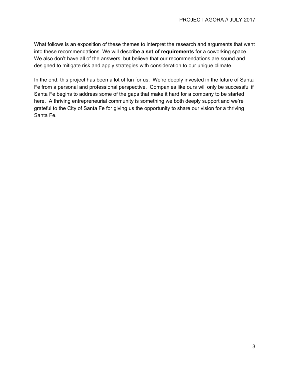What follows is an exposition of these themes to interpret the research and arguments that went into these recommendations. We will describe **a set of requirements** for a coworking space. We also don't have all of the answers, but believe that our recommendations are sound and designed to mitigate risk and apply strategies with consideration to our unique climate.

In the end, this project has been a lot of fun for us. We're deeply invested in the future of Santa Fe from a personal and professional perspective. Companies like ours will only be successful if Santa Fe begins to address some of the gaps that make it hard for a company to be started here. A thriving entrepreneurial community is something we both deeply support and we're grateful to the City of Santa Fe for giving us the opportunity to share our vision for a thriving Santa Fe.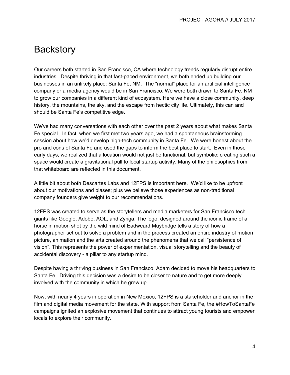# <span id="page-4-0"></span>**Backstory**

Our careers both started in San Francisco, CA where technology trends regularly disrupt entire industries. Despite thriving in that fast-paced environment, we both ended up building our businesses in an unlikely place: Santa Fe, NM. The "normal" place for an artificial intelligence company or a media agency would be in San Francisco. We were both drawn to Santa Fe, NM to grow our companies in a different kind of ecosystem. Here we have a close community, deep history, the mountains, the sky, and the escape from hectic city life. Ultimately, this can and should be Santa Fe's competitive edge.

We've had many conversations with each other over the past 2 years about what makes Santa Fe special. In fact, when we first met two years ago, we had a spontaneous brainstorming session about how we'd develop high-tech community in Santa Fe. We were honest about the pro and cons of Santa Fe and used the gaps to inform the best place to start. Even in those early days, we realized that a location would not just be functional, but symbolic: creating such a space would create a gravitational pull to local startup activity. Many of the philosophies from that whiteboard are reflected in this document.

A little bit about both Descartes Labs and 12FPS is important here. We'd like to be upfront about our motivations and biases; plus we believe those experiences as non-traditional company founders give weight to our recommendations.

12FPS was created to serve as the storytellers and media marketers for San Francisco tech giants like Google, Adobe, AOL, and Zynga. The logo, designed around the iconic frame of a horse in motion shot by the wild mind of Eadweard Muybridge tells a story of how a photographer set out to solve a problem and in the process created an entire industry of motion picture, animation and the arts created around the phenomena that we call "persistence of vision". This represents the power of experimentation, visual storytelling and the beauty of accidental discovery - a pillar to any startup mind.

Despite having a thriving business in San Francisco, Adam decided to move his headquarters to Santa Fe. Driving this decision was a desire to be closer to nature and to get more deeply involved with the community in which he grew up.

Now, with nearly 4 years in operation in New Mexico, 12FPS is a stakeholder and anchor in the film and digital media movement for the state. With support from Santa Fe, the #HowToSantaFe campaigns ignited an explosive movement that continues to attract young tourists and empower locals to explore their community.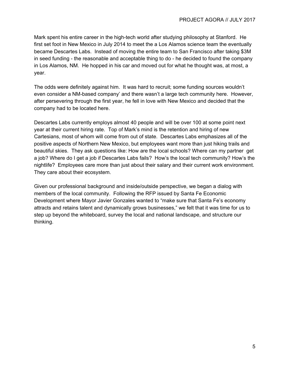Mark spent his entire career in the high-tech world after studying philosophy at Stanford. He first set foot in New Mexico in July 2014 to meet the a Los Alamos science team the eventually became Descartes Labs. Instead of moving the entire team to San Francisco after taking \$3M in seed funding - the reasonable and acceptable thing to do - he decided to found the company in Los Alamos, NM. He hopped in his car and moved out for what he thought was, at most, a year.

The odds were definitely against him. It was hard to recruit; some funding sources wouldn't even consider a NM-based company' and there wasn't a large tech community here. However, after persevering through the first year, he fell in love with New Mexico and decided that the company had to be located here.

Descartes Labs currently employs almost 40 people and will be over 100 at some point next year at their current hiring rate. Top of Mark's mind is the retention and hiring of new Cartesians, most of whom will come from out of state. Descartes Labs emphasizes all of the positive aspects of Northern New Mexico, but employees want more than just hiking trails and beautiful skies. They ask questions like: How are the local schools? Where can my partner get a job? Where do I get a job if Descartes Labs fails? How's the local tech community? How's the nightlife? Employees care more than just about their salary and their current work environment. They care about their ecosystem.

Given our professional background and inside/outside perspective, we began a dialog with members of the local community. Following the RFP issued by Santa Fe Economic Development where Mayor Javier Gonzales wanted to "make sure that Santa Fe's economy attracts and retains talent and dynamically grows businesses," we felt that it was time for us to step up beyond the whiteboard, survey the local and national landscape, and structure our thinking.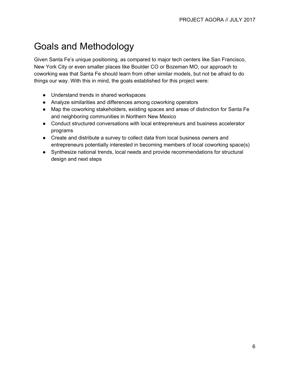# <span id="page-6-0"></span>Goals and Methodology

Given Santa Fe's unique positioning, as compared to major tech centers like San Francisco, New York City or even smaller places like Boulder CO or Bozeman MO, our approach to coworking was that Santa Fe should learn from other similar models, but not be afraid to do things our way. With this in mind, the goals established for this project were:

- Understand trends in shared workspaces
- Analyze similarities and differences among coworking operators
- Map the coworking stakeholders, existing spaces and areas of distinction for Santa Fe and neighboring communities in Northern New Mexico
- Conduct structured conversations with local entrepreneurs and business accelerator programs
- Create and distribute a survey to collect data from local business owners and entrepreneurs potentially interested in becoming members of local coworking space(s)
- Synthesize national trends, local needs and provide recommendations for structural design and next steps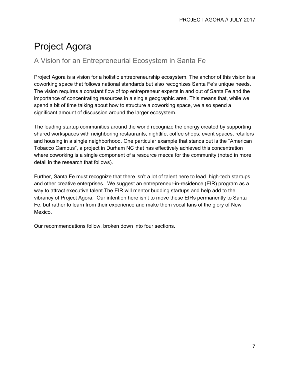# <span id="page-7-0"></span>Project Agora

### A Vision for an Entrepreneurial Ecosystem in Santa Fe

Project Agora is a vision for a holistic entrepreneurship ecosystem. The anchor of this vision is a coworking space that follows national standards but also recognizes Santa Fe's unique needs. The vision requires a constant flow of top entrepreneur experts in and out of Santa Fe and the importance of concentrating resources in a single geographic area. This means that, while we spend a bit of time talking about how to structure a coworking space, we also spend a significant amount of discussion around the larger ecosystem.

The leading startup communities around the world recognize the energy created by supporting shared workspaces with neighboring restaurants, nightlife, coffee shops, event spaces, retailers and housing in a single neighborhood. One particular example that stands out is the "American Tobacco Campus", a project in Durham NC that has effectively achieved this concentration where coworking is a single component of a resource mecca for the community (noted in more detail in the research that follows).

Further, Santa Fe must recognize that there isn't a lot of talent here to lead high-tech startups and other creative enterprises. We suggest an entrepreneur-in-residence (EIR) program as a way to attract executive talent.The EIR will mentor budding startups and help add to the vibrancy of Project Agora. Our intention here isn't to move these EIRs permanently to Santa Fe, but rather to learn from their experience and make them vocal fans of the glory of New Mexico.

Our recommendations follow, broken down into four sections.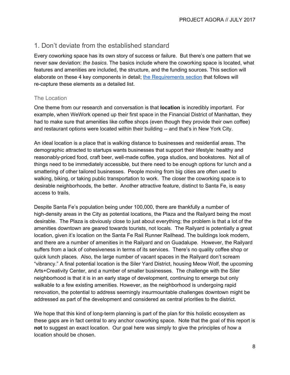#### <span id="page-8-0"></span>1. Don't deviate from the established standard

Every coworking space has its own story of success or failure. But there's one pattern that we never saw deviation: *the basics*. The basics include where the coworking space is located, what features and amenities are included, the structure, and the funding sources. This section will elaborate on these 4 key components in detail; the [Requirements](#page-17-0) section that follows will re-capture these elements as a detailed list.

#### <span id="page-8-1"></span>The Location

One theme from our research and conversation is that **location** is incredibly important. For example, when WeWork opened up their first space in the Financial District of Manhattan, they had to make sure that amenities like coffee shops (even though they provide their own coffee) and restaurant options were located within their building -- and that's in New York City.

An ideal location is a place that is walking distance to businesses and residential areas. The demographic attracted to startups wants businesses that support their lifestyle: healthy and reasonably-priced food, craft beer, well-made coffee, yoga studios, and bookstores. Not all of things need to be immediately accessible, but there need to be enough options for lunch and a smattering of other tailored businesses. People moving from big cities are often used to walking, biking, or taking public transportation to work. The closer the coworking space is to desirable neighborhoods, the better. Another attractive feature, distinct to Santa Fe, is easy access to trails.

Despite Santa Fe's population being under 100,000, there are thankfully a number of high-density areas in the City as potential locations, the Plaza and the Railyard being the most desirable. The Plaza is obviously close to just about everything; the problem is that a lot of the amenities downtown are geared towards tourists, not locals. The Railyard is potentially a great location, given it's location on the Santa Fe Rail Runner Railhead. The buildings look modern, and there are a number of amenities in the Railyard and on Guadalupe. However, the Railyard suffers from a lack of cohesiveness in terms of its services. There's no quality coffee shop or quick lunch places. Also, the large number of vacant spaces in the Railyard don't scream "vibrancy." A final potential location is the Siler Yard District, housing Meow Wolf, the upcoming Arts+Creativity Center, and a number of smaller businesses. The challenge with the Siler neighborhood is that it is in an early stage of development, continuing to emerge but only walkable to a few existing amenities. However, as the neighborhood is undergoing rapid renovation, the potential to address seemingly insurmountable challenges downtown might be addressed as part of the development and considered as central priorities to the district.

We hope that this kind of long-term planning is part of the plan for this holistic ecosystem as these gaps are in fact central to any anchor coworking space. Note that the goal of this report is **not** to suggest an exact location. Our goal here was simply to give the principles of how a location should be chosen.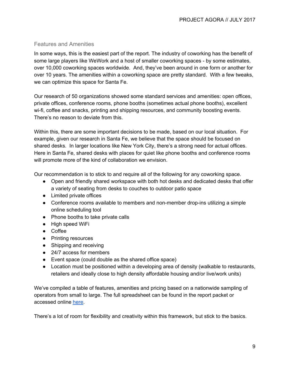#### <span id="page-9-0"></span>Features and Amenities

In some ways, this is the easiest part of the report. The industry of coworking has the benefit of some large players like WeWork and a host of smaller coworking spaces - by some estimates, over 10,000 coworking spaces worldwide. And, they've been around in one form or another for over 10 years. The amenities within a coworking space are pretty standard. With a few tweaks, we can optimize this space for Santa Fe.

Our research of 50 organizations showed some standard services and amenities: open offices, private offices, conference rooms, phone booths (sometimes actual phone booths), excellent wi-fi, coffee and snacks, printing and shipping resources, and community boosting events. There's no reason to deviate from this.

Within this, there are some important decisions to be made, based on our local situation. For example, given our research in Santa Fe, we believe that the space should be focused on shared desks. In larger locations like New York City, there's a strong need for actual offices. Here in Santa Fe, shared desks with places for quiet like phone booths and conference rooms will promote more of the kind of collaboration we envision.

Our recommendation is to stick to and require all of the following for any coworking space.

- Open and friendly shared workspace with both hot desks and dedicated desks that offer a variety of seating from desks to couches to outdoor patio space
- Limited private offices
- Conference rooms available to members and non-member drop-ins utilizing a simple online scheduling tool
- Phone booths to take private calls
- High speed WiFi
- Coffee
- Printing resources
- Shipping and receiving
- 24/7 access for members
- Event space (could double as the shared office space)
- Location must be positioned within a developing area of density (walkable to restaurants, retailers and ideally close to high density affordable housing and/or live/work units)

We've compiled a table of features, amenities and pricing based on a nationwide sampling of operators from small to large. The full spreadsheet can be found in the report packet or accessed online [here.](https://docs.google.com/spreadsheets/d/1Xk1jADOGcpcNNQSrvU73oBxddcX5wIvBKt_mYkMBoog/edit?usp=sharing.)

There's a lot of room for flexibility and creativity within this framework, but stick to the basics.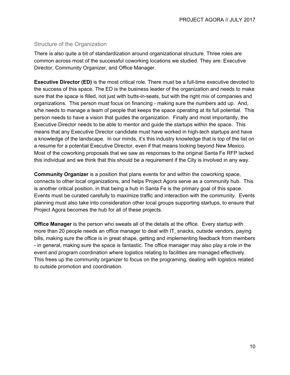#### <span id="page-10-0"></span>Structure of the Organization

There is also quite a bit of standardization around organizational structure. Three roles are common across most of the successful coworking locations we studied. They are: Executive Director, Community Organizer, and Office Manager.

**Executive Director (ED)** is the most critical role. There must be a full-time executive devoted to the success of this space. The ED is the business leader of the organization and needs to make sure that the space is filled, not just with butts-in-seats, but with the right mix of companies and organizations. This person must focus on financing - making sure the numbers add up. And, s/he needs to manage a team of people that keeps the space operating at its full potential. This person needs to have a vision that guides the organization. Finally and most importantly, the Executive Director needs to be able to mentor and guide the startups within the space. This means that any Executive Director candidate must have worked in high-tech startups and have a knowledge of the landscape. In our minds, it's this industry knowledge that is top of the list on a resume for a potential Executive Director, even if that means looking beyond New Mexico. Most of the coworking proposals that we saw as responses to the original Santa Fe RFP lacked this individual and we think that this should be a requirement if the City is involved in any way.

**Community Organizer** is a position that plans events for and within the coworking space, connects to other local organizations, and helps Project Agora serve as a community hub. This is another critical position, in that being a hub in Santa Fe is the primary goal of this space. Events must be curated carefully to maximize traffic and interaction with the community. Events planning must also take into consideration other local groups supporting startups, to ensure that Project Agora becomes the hub for all of these projects.

**Office Manager** is the person who sweats all of the details at the office. Every startup with more than 20 people needs an office manager to deal with IT, snacks, outside vendors, paying bills, making sure the office is in great shape, getting and implementing feedback from members - in general, making sure the space is fantastic. The office manager may also play a role in the event and program coordination where logistics relating to facilities are managed effectively. This frees up the community organizer to focus on the programing, dealing with logistics related to outside promotion and coordination.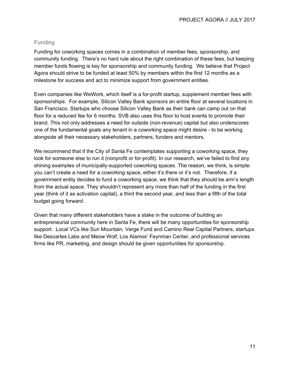#### <span id="page-11-0"></span>Funding

Funding for coworking spaces comes in a combination of member fees, sponsorship, and community funding. There's no hard rule about the right combination of these fees, but keeping member funds flowing is key for sponsorship and community funding. We believe that Project Agora should strive to be funded at least 50% by members within the first 12 months as a milestone for success and act to minimize support from government entities.

Even companies like WeWork, which itself is a for-profit startup, supplement member fees with sponsorships. For example, Silicon Valley Bank sponsors an entire floor at several locations in San Francisco. Startups who choose Silicon Valley Bank as their bank can camp out on that floor for a reduced fee for 6 months. SVB also uses this floor to host events to promote their brand. This not only addresses a need for outside (non-revenue) capital but also underscores one of the fundamental goals any tenant in a coworking space might desire - to be working alongside all their necessary stakeholders, partners, funders and mentors.

We recommend that if the City of Santa Fe contemplates supporting a coworking space, they look for someone else to run it (nonprofit or for-profit). In our research, we've failed to find any shining examples of municipally-supported coworking spaces. The reason, we think, is simple: you can't create a need for a coworking space, either it's there or it's not. Therefore, if a government entity decides to fund a coworking space, we think that they should be arm's length from the actual space. They shouldn't represent any more than half of the funding in the first year (think of it as activation capital), a third the second year, and less than a fifth of the total budget going forward.

Given that many different stakeholders have a stake in the outcome of building an entrepreneurial community here in Santa Fe, there will be many opportunities for sponsorship support. Local VCs like Sun Mountain, Verge Fund and Camino Real Capital Partners, startups like Descartes Labs and Meow Wolf, Los Alamos' Feynman Center, and professional services firms like PR, marketing, and design should be given opportunities for sponsorship.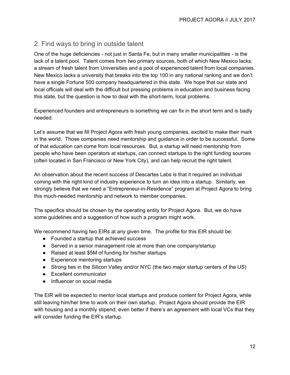### <span id="page-12-0"></span>2. Find ways to bring in outside talent

One of the huge deficiencies - not just in Santa Fe, but in many smaller municipalities - is the lack of a talent pool. Talent comes from two primary sources, both of which New Mexico lacks: a stream of fresh talent from Universities and a pool of experienced talent from local companies. New Mexico lacks a university that breaks into the top 100 in any national ranking and we don't have a single Fortune 500 company headquartered in this state. We hope that our state and local officials will deal with the difficult but pressing problems in education and business facing this state, but the question is how to deal with the short-term, local problems.

Experienced founders and entrepreneurs is something we can fix in the short term and is badly needed.

Let's assume that we fill Project Agora with fresh young companies, excited to make their mark in the world. Those companies need mentorship and guidance in order to be successful. Some of that education can come from local resources. But, a startup will need mentorship from people who have been operators at startups, can connect startups to the right funding sources (often located in San Francisco or New York City), and can help recruit the right talent.

An observation about the recent success of Descartes Labs is that it required an individual coming with the right kind of industry experience to turn an idea into a startup. Similarly, we strongly believe that we need a "Entrepreneur-in-Residence" program at Project Agora to bring this much-needed mentorship and network to member companies.

The specifics should be chosen by the operating entity for Project Agora. But, we do have some guidelines and a suggestion of how such a program might work.

We recommend having two EIRs at any given time. The profile for this EIR should be:

- Founded a startup that achieved success
- Served in a senior management role at more than one company/startup
- Raised at least \$5M of funding for his/her startups
- Experience mentoring startups
- Strong ties in the Silicon Valley and/or NYC (the two major startup centers of the US)
- Excellent communicator
- Influencer on social media

The EIR will be expected to mentor local startups and produce content for Project Agora, while still leaving him/her time to work on their own startup. Project Agora should provide the EIR with housing and a monthly stipend; even better if there's an agreement with local VCs that they will consider funding the EIR's startup.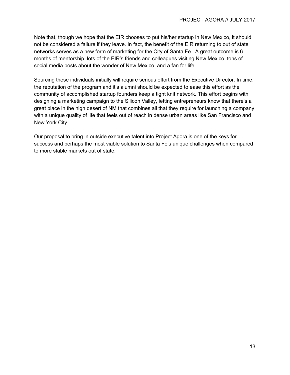Note that, though we hope that the EIR chooses to put his/her startup in New Mexico, it should not be considered a failure if they leave. In fact, the benefit of the EIR returning to out of state networks serves as a new form of marketing for the City of Santa Fe. A great outcome is 6 months of mentorship, lots of the EIR's friends and colleagues visiting New Mexico, tons of social media posts about the wonder of New Mexico, and a fan for life.

Sourcing these individuals initially will require serious effort from the Executive Director. In time, the reputation of the program and it's alumni should be expected to ease this effort as the community of accomplished startup founders keep a tight knit network. This effort begins with designing a marketing campaign to the Silicon Valley, letting entrepreneurs know that there's a great place in the high desert of NM that combines all that they require for launching a company with a unique quality of life that feels out of reach in dense urban areas like San Francisco and New York City.

Our proposal to bring in outside executive talent into Project Agora is one of the keys for success and perhaps the most viable solution to Santa Fe's unique challenges when compared to more stable markets out of state.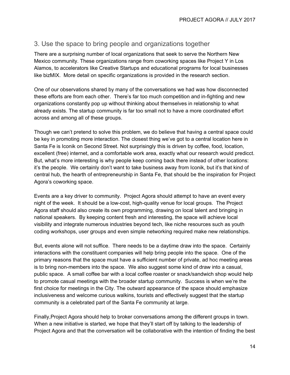### 3. Use the space to bring people and organizations together

There are a surprising number of local organizations that seek to serve the Northern New Mexico community. These organizations range from coworking spaces like Project Y in Los Alamos, to accelerators like Creative Startups and educational programs for local businesses like bizMIX. More detail on specific organizations is provided in the research section.

One of our observations shared by many of the conversations we had was how disconnected these efforts are from each other. There's far too much competition and in-fighting and new organizations constantly pop up without thinking about themselves in relationship to what already exists. The startup community is far too small not to have a more coordinated effort across and among all of these groups.

Though we can't pretend to solve this problem, we do believe that having a central space could be key in promoting more interaction. The closest thing we've got to a central location here in Santa Fe is Iconik on Second Street. Not surprisingly this is driven by coffee, food, location, excellent (free) internet, and a comfortable work area, exactly what our research would predicct. But, what's more interesting is why people keep coming back there instead of other locations: it's the people. We certainly don't want to take business away from Iconik, but it's that kind of central hub, the hearth of entrepreneurship in Santa Fe, that should be the inspiration for Project Agora's coworking space.

Events are a key driver to community. Project Agora should attempt to have an event every night of the week. It should be a low-cost, high-quality venue for local groups. The Project Agora staff should also create its own programming, drawing on local talent and bringing in national speakers. By keeping content fresh and interesting, the space will achieve local visibility and integrate numerous industries beyond tech, like niche resources such as youth coding workshops, user groups and even simple networking required make new relationships.

But, events alone will not suffice. There needs to be a daytime draw into the space. Certainly interactions with the constituent companies will help bring people into the space. One of the primary reasons that the space must have a sufficient number of private, ad hoc meeting areas is to bring non-members into the space. We also suggest some kind of draw into a casual, public space. A small coffee bar with a local coffee roaster or snack/sandwich shop would help to promote casual meetings with the broader startup community. Success is when we're the first choice for meetings in the City. The outward appearance of the space should emphasize inclusiveness and welcome curious walkins, tourists and effectively suggest that the startup community is a celebrated part of the Santa Fe community at large.

Finally,Project Agora should help to broker conversations among the different groups in town. When a new initiative is started, we hope that they'll start off by talking to the leadership of Project Agora and that the conversation will be collaborative with the intention of finding the best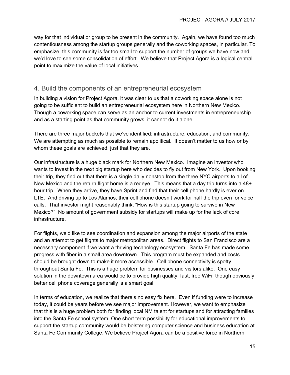way for that individual or group to be present in the community. Again, we have found too much contentiousness among the startup groups generally and the coworking spaces, in particular. To emphasize: this community is far too small to support the number of groups we have now and we'd love to see some consolidation of effort. We believe that Project Agora is a logical central point to maximize the value of local initiatives.

### <span id="page-15-0"></span>4. Build the components of an entrepreneurial ecosystem

In building a vision for Project Agora, it was clear to us that a coworking space alone is not going to be sufficient to build an entrepreneurial ecosystem here in Northern New Mexico. Though a coworking space can serve as an anchor to current investments in entrepreneurship and as a starting point as that community grows, it cannot do it alone.

There are three major buckets that we've identified: infrastructure, education, and community. We are attempting as much as possible to remain apolitical. It doesn't matter to us how or by whom these goals are achieved, just that they are.

Our infrastructure is a huge black mark for Northern New Mexico. Imagine an investor who wants to invest in the next big startup here who decides to fly out from New York. Upon booking their trip, they find out that there is a single daily nonstop from the three NYC airports to all of New Mexico and the return flight home is a redeye. This means that a day trip turns into a 48+ hour trip. When they arrive, they have Sprint and find that their cell phone hardly is ever on LTE. And driving up to Los Alamos, their cell phone doesn't work for half the trip even for voice calls. That investor might reasonably think, "How is this startup going to survive in New Mexico?" No amount of government subsidy for startups will make up for the lack of core infrastructure.

For flights, we'd like to see coordination and expansion among the major airports of the state and an attempt to get flights to major metropolitan areas. Direct flights to San Francisco are a necessary component if we want a thriving technology ecosystem. Santa Fe has made some progress with fiber in a small area downtown. This program must be expanded and costs should be brought down to make it more accessible. Cell phone connectivity is spotty throughout Santa Fe. This is a huge problem for businesses and visitors alike. One easy solution in the downtown area would be to provide high quality, fast, free WiFi; though obviously better cell phone coverage generally is a smart goal.

In terms of education, we realize that there's no easy fix here. Even if funding were to increase today, it could be years before we see major improvement. However, we want to emphasize that this is a huge problem both for finding local NM talent for startups and for attracting families into the Santa Fe school system. One short term possibility for educational improvements to support the startup community would be bolstering computer science and business education at Santa Fe Community College. We believe Project Agora can be a positive force in Northern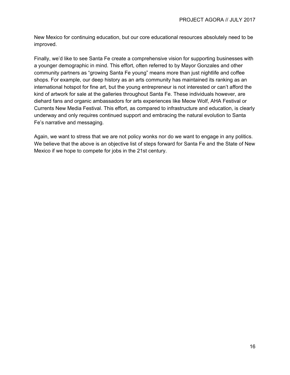New Mexico for continuing education, but our core educational resources absolutely need to be improved.

Finally, we'd like to see Santa Fe create a comprehensive vision for supporting businesses with a younger demographic in mind. This effort, often referred to by Mayor Gonzales and other community partners as "growing Santa Fe young" means more than just nightlife and coffee shops. For example, our deep history as an arts community has maintained its ranking as an international hotspot for fine art, but the young entrepreneur is not interested or can't afford the kind of artwork for sale at the galleries throughout Santa Fe. These individuals however, are diehard fans and organic ambassadors for arts experiences like Meow Wolf, AHA Festival or Currents New Media Festival. This effort, as compared to infrastructure and education, is clearly underway and only requires continued support and embracing the natural evolution to Santa Fe's narrative and messaging.

Again, we want to stress that we are not policy wonks nor do we want to engage in any politics. We believe that the above is an objective list of steps forward for Santa Fe and the State of New Mexico if we hope to compete for jobs in the 21st century.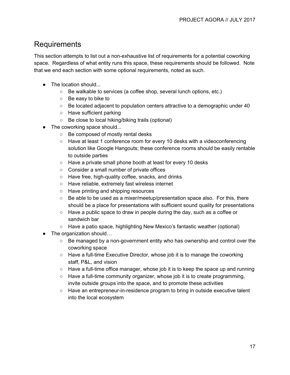# <span id="page-17-0"></span>Requirements

This section attempts to list out a non-exhaustive list of requirements for a potential coworking space. Regardless of what entity runs this space, these requirements should be followed. Note that we end each section with some optional requirements, noted as such.

- The location should...
	- Be walkable to services (a coffee shop, several lunch options, etc.)
	- Be easy to bike to
	- $\circ$  Be located adjacent to population centers attractive to a demographic under 40
	- Have sufficient parking
	- Be close to local hiking/biking trails (optional)
- The coworking space should...
	- Be composed of mostly rental desks
	- Have at least 1 conference room for every 10 desks with a videoconferencing solution like Google Hangouts; these conference rooms should be easily rentable to outside parties
	- Have a private small phone booth at least for every 10 desks
	- Consider a small number of private offices
	- Have free, high-quality coffee, snacks, and drinks
	- Have reliable, extremely fast wireless internet
	- Have printing and shipping resources
	- $\circ$  Be able to be used as a mixer/meetup/presentation space also. For this, there should be a place for presentations with sufficient sound quality for presentations
	- $\circ$  Have a public space to draw in people during the day, such as a coffee or sandwich bar
	- Have a patio space, highlighting New Mexico's fantastic weather (optional)
- The organization should...
	- $\circ$  Be managed by a non-government entity who has ownership and control over the coworking space
	- Have a full-time Executive Director, whose job it is to manage the coworking staff, P&L, and vision
	- $\circ$  Have a full-time office manager, whose job it is to keep the space up and running
	- $\circ$  Have a full-time community organizer, whose job it is to create programming, invite outside groups into the space, and to promote these activities
	- Have an entrepreneur-in-residence program to bring in outside executive talent into the local ecosystem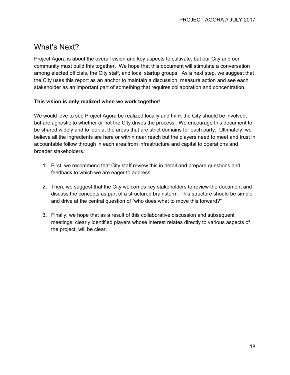# <span id="page-18-0"></span>What's Next?

Project Agora is about the overall vision and key aspects to cultivate, but our City and our community must build this together. We hope that this document will stimulate a conversation among elected officials, the City staff, and local startup groups. As a next step, we suggest that the City uses this report as an anchor to maintain a discussion, measure action and see each stakeholder as an important part of something that requires collaboration and concentration.

#### **This vision is only realized when we work together!**

We would love to see Project Agora be realized locally and think the City should be involved, but are agnostic to whether or not the City drives the process. We encourage this document to be shared widely and to look at the areas that are strict domains for each party. Ultimately, we believe all the ingredients are here or within near reach but the players need to meet and trust in accountable follow through in each area from infrastructure and capital to operations and broader stakeholders.

- 1. First, we recommend that City staff review this in detail and prepare questions and feedback to which we are eager to address.
- 2. Then, we suggest that the City welcomes key stakeholders to review the document and discuss the concepts as part of a structured brainstorm. This structure should be simple and drive at the central question of "who does what to move this forward?"
- 3. Finally, we hope that as a result of this collaborative discussion and subsequent meetings, clearly identified players whose interest relates directly to various aspects of the project, will be clear.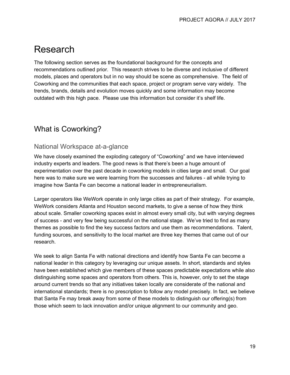# <span id="page-19-0"></span>Research

The following section serves as the foundational background for the concepts and recommendations outlined prior. This research strives to be diverse and inclusive of different models, places and operators but in no way should be scene as comprehensive. The field of Coworking and the communities that each space, project or program serve vary widely. The trends, brands, details and evolution moves quickly and some information may become outdated with this high pace. Please use this information but consider it's shelf life.

# <span id="page-19-1"></span>What is Coworking?

#### <span id="page-19-2"></span>National Workspace at-a-glance

We have closely examined the exploding category of "Coworking" and we have interviewed industry experts and leaders. The good news is that there's been a huge amount of experimentation over the past decade in coworking models in cities large and small. Our goal here was to make sure we were learning from the successes and failures - all while trying to imagine how Santa Fe can become a national leader in entrepreneurialism.

Larger operators like WeWork operate in only large cities as part of their strategy. For example, WeWork considers Atlanta and Houston second markets, to give a sense of how they think about scale. Smaller coworking spaces exist in almost every small city, but with varying degrees of success - and very few being successful on the national stage. We've tried to find as many themes as possible to find the key success factors and use them as recommendations. Talent, funding sources, and sensitivity to the local market are three key themes that came out of our research.

We seek to align Santa Fe with national directions and identify how Santa Fe can become a national leader in this category by leveraging our unique assets. In short, standards and styles have been established which give members of these spaces predictable expectations while also distinguishing some spaces and operators from others. This is, however, only to set the stage around current trends so that any initiatives taken locally are considerate of the national and international standards; there is no prescription to follow any model precisely. In fact, we believe that Santa Fe may break away from some of these models to distinguish our offering(s) from those which seem to lack innovation and/or unique alignment to our community and geo.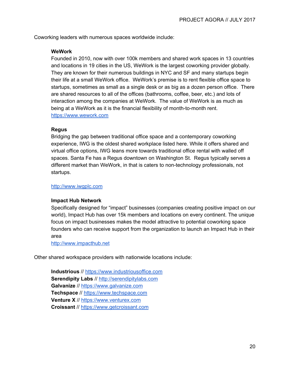Coworking leaders with numerous spaces worldwide include:

#### **WeWork**

Founded in 2010, now with over 100k members and shared work spaces in 13 countries and locations in 19 cities in the US, WeWork is the largest coworking provider globally. They are known for their numerous buildings in NYC and SF and many startups begin their life at a small WeWork office. WeWork's premise is to rent flexible office space to startups, sometimes as small as a single desk or as big as a dozen person office. There are shared resources to all of the offices (bathrooms, coffee, beer, etc.) and lots of interaction among the companies at WeWork. The value of WeWork is as much as being at a WeWork as it is the financial flexibility of month-to-month rent. [https://www.wework.com](https://www.wework.com/)

#### **Regus**

Bridging the gap between traditional office space and a contemporary coworking experience, IWG is the oldest shared workplace listed here. While it offers shared and virtual office options, IWG leans more towards traditional office rental with walled off spaces. Santa Fe has a Regus downtown on Washington St. Regus typically serves a different market than WeWork, in that is caters to non-technology professionals, not startups.

#### [http://www.iwgplc.com](http://www.iwgplc.com/)

#### **Impact Hub Network**

Specifically designed for "impact" businesses (companies creating positive impact on our world), Impact Hub has over 15k members and locations on every continent. The unique focus on impact businesses makes the model attractive to potential coworking space founders who can receive support from the organization to launch an Impact Hub in their area

[http://www.impacthub.net](http://www.impacthub.net/)

Other shared workspace providers with nationwide locations include:

**Industrious** // [https://www.industriousoffice.com](https://www.industriousoffice.com/) **Serendipity Labs** // [http://serendipitylabs.com](http://serendipitylabs.com/) **Galvanize** // [https://www.galvanize.com](https://www.galvanize.com/) **Techspace** // [https://www.techspace.com](https://www.techspace.com/) **Venture X** // [https://www.venturex.com](https://www.venturex.com/) **Croissant** // [https://www.getcroissant.com](https://www.getcroissant.com/)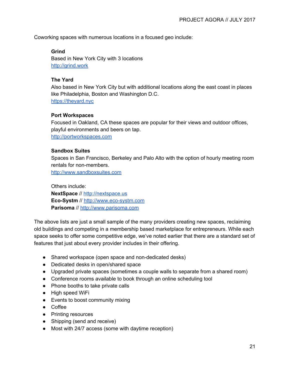Coworking spaces with numerous locations in a focused geo include:

#### **Grind**

Based in New York City with 3 locations [http://grind.work](http://grind.work/)

#### **The Yard**

Also based in New York City but with additional locations along the east coast in places like Philadelphia, Boston and Washington D.C. [https://theyard.nyc](https://theyard.nyc/)

#### **Port Workspaces**

Focused in Oakland, CA these spaces are popular for their views and outdoor offices, playful environments and beers on tap. [http://portworkspaces.com](http://portworkspaces.com/)

#### **Sandbox Suites**

Spaces in San Francisco, Berkeley and Palo Alto with the option of hourly meeting room rentals for non-members.

[http://www.sandboxsuites.com](http://www.sandboxsuites.com/)

Others include: **NextSpace** // [http://nextspace.us](http://nextspace.us/) **Eco-Systm** // [http://www.eco-systm.com](http://www.eco-systm.com/) **Parisoma** // [http://www.parisoma.com](http://www.parisoma.com/)

The above lists are just a small sample of the many providers creating new spaces, reclaiming old buildings and competing in a membership based marketplace for entrepreneurs. While each space seeks to offer some competitive edge, we've noted earlier that there are a standard set of features that just about every provider includes in their offering.

- Shared workspace (open space and non-dedicated desks)
- Dedicated desks in open/shared space
- Upgraded private spaces (sometimes a couple walls to separate from a shared room)
- Conference rooms available to book through an online scheduling tool
- Phone booths to take private calls
- High speed WiFi
- Events to boost community mixing
- Coffee
- Printing resources
- Shipping (send and receive)
- Most with 24/7 access (some with daytime reception)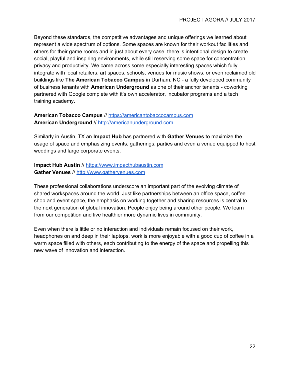Beyond these standards, the competitive advantages and unique offerings we learned about represent a wide spectrum of options. Some spaces are known for their workout facilities and others for their game rooms and in just about every case, there is intentional design to create social, playful and inspiring environments, while still reserving some space for concentration, privacy and productivity. We came across some especially interesting spaces which fully integrate with local retailers, art spaces, schools, venues for music shows, or even reclaimed old buildings like **The American Tobacco Campus** in Durham, NC - a fully developed community of business tenants with **American Underground** as one of their anchor tenants - coworking partnered with Google complete with it's own accelerator, incubator programs and a tech training academy.

#### **American Tobacco Campus** // [https://americantobaccocampus.com](https://americantobaccocampus.com/) **American Underground** // [http://americanunderground.com](http://americanunderground.com/)

Similarly in Austin, TX an **Impact Hub** has partnered with **Gather Venues** to maximize the usage of space and emphasizing events, gatherings, parties and even a venue equipped to host weddings and large corporate events.

#### **Impact Hub Austin** // [https://www.impacthubaustin.com](https://www.impacthubaustin.com/) **Gather Venues** // [http://www.gathervenues.com](http://www.gathervenues.com/)

These professional collaborations underscore an important part of the evolving climate of shared workspaces around the world. Just like partnerships between an office space, coffee shop and event space, the emphasis on working together and sharing resources is central to the next generation of global innovation. People enjoy being around other people. We learn from our competition and live healthier more dynamic lives in community.

Even when there is little or no interaction and individuals remain focused on their work, headphones on and deep in their laptops, work is more enjoyable with a good cup of coffee in a warm space filled with others, each contributing to the energy of the space and propelling this new wave of innovation and interaction.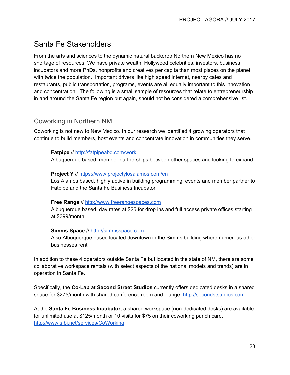# <span id="page-23-1"></span>Santa Fe Stakeholders

From the arts and sciences to the dynamic natural backdrop Northern New Mexico has no shortage of resources. We have private wealth, Hollywood celebrities, investors, business incubators and more PhDs, nonprofits and creatives per capita than most places on the planet with twice the population. Important drivers like high speed internet, nearby cafes and restaurants, public transportation, programs, events are all equally important to this innovation and concentration. The following is a small sample of resources that relate to entrepreneurship in and around the Santa Fe region but again, should not be considered a comprehensive list.

### <span id="page-23-0"></span>Coworking in Northern NM

Coworking is not new to New Mexico. In our research we identified 4 growing operators that continue to build members, host events and concentrate innovation in communities they serve.

#### **Fatpipe** // [http://fatpipeabq.com/work](http://fatpipeabq.com/work/)

Albuquerque based, member partnerships between other spaces and looking to expand

#### **Project Y** // <https://www.projectylosalamos.com/en>

Los Alamos based, highly active in building programming, events and member partner to Fatpipe and the Santa Fe Business Incubator

#### **Free Range** // [http://www.freerangespaces.com](http://www.freerangespaces.com/)

Albuquerque based, day rates at \$25 for drop ins and full access private offices starting at \$399/month

#### **Simms Space** // [http://simmsspace.com](http://simmsspace.com/)

Also Albuquerque based located downtown in the Simms building where numerous other businesses rent

In addition to these 4 operators outside Santa Fe but located in the state of NM, there are some collaborative workspace rentals (with select aspects of the national models and trends) are in operation in Santa Fe.

Specifically, the **Co-Lab at Second Street Studios** currently offers dedicated desks in a shared space for \$275/month with shared conference room and lounge. [http://secondststudios.com](http://secondststudios.com/)

At the **Santa Fe Business Incubator**, a shared workspace (non-dedicated desks) are available for unlimited use at \$125/month or 10 visits for \$75 on their coworking punch card. <http://www.sfbi.net/services/CoWorking>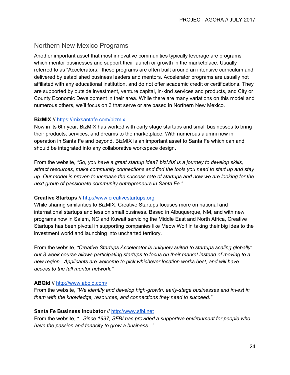#### <span id="page-24-0"></span>Northern New Mexico Programs

Another important asset that most innovative communities typically leverage are programs which mentor businesses and support their launch or growth in the marketplace. Usually referred to as "Accelerators," these programs are often built around an intensive curriculum and delivered by established business leaders and mentors. Accelerator programs are usually not affiliated with any educational institution, and do not offer academic credit or certifications. They are supported by outside investment, venture capital, in-kind services and products, and City or County Economic Development in their area. While there are many variations on this model and numerous others, we'll focus on 3 that serve or are based in Northern New Mexico.

#### **BizMIX** // <https://mixsantafe.com/bizmix>

Now in its 6th year, BizMIX has worked with early stage startups and small businesses to bring their products, services, and dreams to the marketplace. With numerous alumni now in operation in Santa Fe and beyond, BizMIX is an important asset to Santa Fe which can and should be integrated into any collaborative workspace design.

From the website, *"So, you have a great startup idea? bizMIX is a journey to develop skills, attract resources, make community connections and find the tools you need to start up and stay* up. Our model is proven to increase the success rate of startups and now we are looking for the *next group of passionate community entrepreneurs in Santa Fe."*

#### **Creative Startups** // [http://www.creativestartups.org](http://www.creativestartups.org/)

While sharing similarities to BizMIX, Creative Startups focuses more on national and international startups and less on small business. Based in Albuquerque, NM, and with new programs now in Salem, NC and Kuwait servicing the Middle East and North Africa, Creative Startups has been pivotal in supporting companies like Meow Wolf in taking their big idea to the investment world and launching into uncharted territory.

From the website, *"Creative Startups Accelerator is uniquely suited to startups scaling globally: our 8 week course allows participating startups to focus on their market instead of moving to a new region. Applicants are welcome to pick whichever location works best, and will have access to the full mentor network."*

#### **ABQid** // <http://www.abqid.com/>

From the website, *"We identify and develop high-growth, early-stage businesses and invest in them with the knowledge, resources, and connections they need to succeed."*

#### **Santa Fe Business Incubator** // [http://www.sfbi.net](http://www.sfbi.net/)

From the website, *"...Since 1997, SFBI has provided a supportive environment for people who have the passion and tenacity to grow a business..."*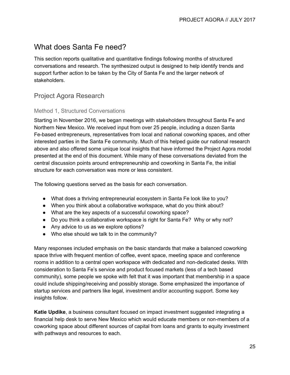# <span id="page-25-0"></span>What does Santa Fe need?

This section reports qualitative and quantitative findings following months of structured conversations and research. The synthesized output is designed to help identify trends and support further action to be taken by the City of Santa Fe and the larger network of stakeholders.

### <span id="page-25-1"></span>Project Agora Research

#### <span id="page-25-2"></span>Method 1, Structured Conversations

Starting in November 2016, we began meetings with stakeholders throughout Santa Fe and Northern New Mexico. We received input from over 25 people, including a dozen Santa Fe-based entrepreneurs, representatives from local and national coworking spaces, and other interested parties in the Santa Fe community. Much of this helped guide our national research above and also offered some unique local insights that have informed the Project Agora model presented at the end of this document. While many of these conversations deviated from the central discussion points around entrepreneurship and coworking in Santa Fe, the initial structure for each conversation was more or less consistent.

The following questions served as the basis for each conversation.

- What does a thriving entrepreneurial ecosystem in Santa Fe look like to you?
- When you think about a collaborative workspace, what do you think about?
- What are the key aspects of a successful coworking space?
- Do you think a collaborative workspace is right for Santa Fe? Why or why not?
- Any advice to us as we explore options?
- Who else should we talk to in the community?

Many responses included emphasis on the basic standards that make a balanced coworking space thrive with frequent mention of coffee, event space, meeting space and conference rooms in addition to a central open workspace with dedicated and non-dedicated desks. With consideration to Santa Fe's service and product focused markets (less of a tech based community), some people we spoke with felt that it was important that membership in a space could include shipping/receiving and possibly storage. Some emphasized the importance of startup services and partners like legal, investment and/or accounting support. Some key insights follow.

**Katie Updike**, a business consultant focused on impact investment suggested integrating a financial help desk to serve New Mexico which would educate members or non-members of a coworking space about different sources of capital from loans and grants to equity investment with pathways and resources to each.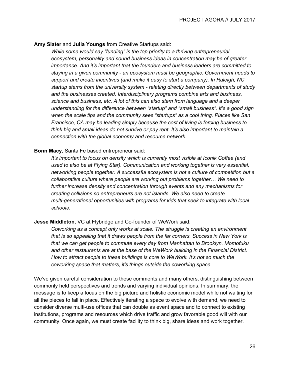#### **Amy Slater** and **Julia Youngs** from Creative Startups said:

*While some would say "funding" is the top priority to a thriving entrepreneurial ecosystem, personality and sound business ideas in concentration may be of greater importance. And it's important that the founders and business leaders are committed to staying in a given community - an ecosystem must be geographic. Government needs to support and create incentives (and make it easy to start a company). In Raleigh, NC startup stems from the university system - relating directly between departments of study and the businesses created. Interdisciplinary programs combine arts and business, science and business, etc. A lot of this can also stem from language and a deeper understanding for the difference between "startup" and "small business". It's a good sign when the scale tips and the community sees "startups" as a cool thing. Places like San Francisco, CA may be leading simply because the cost of living is forcing business to think big and small ideas do not survive or pay rent. It's also important to maintain a connection with the global economy and resource network.*

#### **Bonn Macy**, Santa Fe based entrepreneur said:

*It's important to focus on density which is currently most visible at Iconik Coffee (and used to also be at Flying Star). Communication and working together is very essential, networking people together. A successful ecosystem is not a culture of competition but a collaborative culture where people are working out problems together… We need to further increase density and concentration through events and any mechanisms for creating collisions so entrepreneurs are not islands. We also need to create multi-generational opportunities with programs for kids that seek to integrate with local schools.*

#### **Jesse Middleton**, VC at Flybridge and Co-founder of WeWork said:

*Coworking as a concept only works at scale. The struggle is creating an environment that is so appealing that it draws people from the far corners. Success in New York is that we can get people to commute every day from Manhattan to Brooklyn. Momofuku and other restaurants are at the base of the WeWork building in the Financial District. How to attract people to these buildings is core to WeWork. It's not so much the coworking space that matters, it's things outside the coworking space.*

We've given careful consideration to these comments and many others, distinguishing between commonly held perspectives and trends and varying individual opinions. In summary, the message is to keep a focus on the big picture and holistic economic model while not waiting for all the pieces to fall in place. Effectively iterating a space to evolve with demand, we need to consider diverse multi-use offices that can double as event space and to connect to existing institutions, programs and resources which drive traffic and grow favorable good will with our community. Once again, we must create facility to think big, share ideas and work together.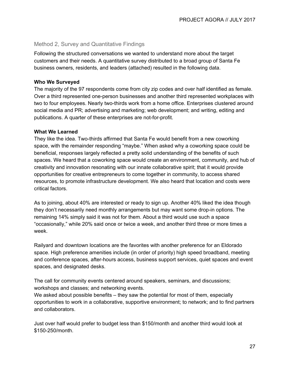#### <span id="page-27-0"></span>Method 2, Survey and Quantitative Findings

Following the structured conversations we wanted to understand more about the target customers and their needs. A quantitative survey distributed to a broad group of Santa Fe business owners, residents, and leaders (attached) resulted in the following data.

#### **Who We Surveyed**

The majority of the 97 respondents come from city zip codes and over half identified as female. Over a third represented one-person businesses and another third represented workplaces with two to four employees. Nearly two-thirds work from a home office. Enterprises clustered around social media and PR; advertising and marketing; web development; and writing, editing and publications. A quarter of these enterprises are not-for-profit.

#### **What We Learned**

They like the idea. Two-thirds affirmed that Santa Fe would benefit from a new coworking space, with the remainder responding "maybe." When asked why a coworking space could be beneficial, responses largely reflected a pretty solid understanding of the benefits of such spaces. We heard that a coworking space would create an environment, community, and hub of creativity and innovation resonating with our innate collaborative spirit; that it would provide opportunities for creative entrepreneurs to come together in community, to access shared resources, to promote infrastructure development. We also heard that location and costs were critical factors.

As to joining, about 40% are interested or ready to sign up. Another 40% liked the idea though they don't necessarily need monthly arrangements but may want some drop-in options. The remaining 14% simply said it was not for them. About a third would use such a space "occasionally," while 20% said once or twice a week, and another third three or more times a week.

Railyard and downtown locations are the favorites with another preference for an Eldorado space. High preference amenities include (in order of priority) high speed broadband, meeting and conference spaces, after-hours access, business support services, quiet spaces and event spaces, and designated desks.

The call for community events centered around speakers, seminars, and discussions; workshops and classes; and networking events.

We asked about possible benefits – they saw the potential for most of them, especially opportunities to work in a collaborative, supportive environment; to network; and to find partners and collaborators.

Just over half would prefer to budget less than \$150/month and another third would look at \$150-250/month.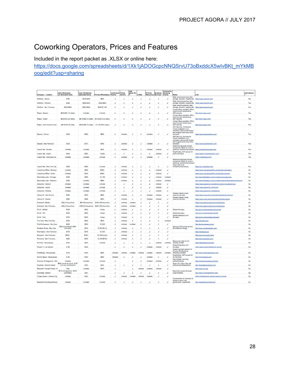# <span id="page-28-0"></span>Coworking Operators, Prices and Features

Included in the report packet as .XLSX or online here:

[https://docs.google.com/spreadsheets/d/1Xk1jADOGcpcNNQSrvU73oBxddcX5wIvBKt\\_mYkMB](https://docs.google.com/spreadsheets/d/1Xk1jADOGcpcNNQSrvU73oBxddcX5wIvBKt_mYkMBoog/edit?usp=sharing) [oog/edit?usp=sharing](https://docs.google.com/spreadsheets/d/1Xk1jADOGcpcNNQSrvU73oBxddcX5wIvBKt_mYkMBoog/edit?usp=sharing)

| Company - Location            | <b>Open Workspace</b><br>(no dedicated desk) | <b>Open Workspac</b><br>(dedicated desk) | Private Office/Space Rooms                     | Conferenc                | Booths                   | High<br>Speed W<br>ΙFΙ | Coffee    | Printing<br>Resources | Shipping<br>Services | Community<br><b>Boosting</b><br>Events | Notes                                                                                                                  | Link                                                                   | International  |
|-------------------------------|----------------------------------------------|------------------------------------------|------------------------------------------------|--------------------------|--------------------------|------------------------|-----------|-----------------------|----------------------|----------------------------------------|------------------------------------------------------------------------------------------------------------------------|------------------------------------------------------------------------|----------------|
| WeWork - Denver               | \$350                                        | \$470-\$550                              | \$600                                          | ź                        | ,                        |                        | ۷         | J                     | ر                    |                                        | Daily cleaning services, bike<br>storage, showers, dog-friendly                                                        | bttps://www.wewprk.com/                                                | Yes            |
| WeWork - Portland             | \$295                                        | \$380-\$400                              | \$500-\$600                                    | Ï                        |                          |                        |           | ر                     | ر                    |                                        | Daily cleaning services, bike<br>storage, showers, dog-friendly                                                        | https://www.wework.com/                                                | Yes            |
|                               |                                              |                                          |                                                |                          |                          |                        |           |                       |                      |                                        | Daily cleaning services, bike                                                                                          |                                                                        |                |
| WeWork - San Francisco        | \$350-\$605                                  | \$500-\$650                              | \$550-\$1,150                                  |                          |                          |                        |           |                       |                      |                                        | storage, showers, dog-friendly<br>Virtual offices available. Office                                                    | https://www.wework.com/                                                | Yes            |
| Regus - Denver                | \$6.90-\$21.10 (daily)                       | Unlisted                                 | Unlisted                                       |                          |                          |                        |           |                       |                      | $\overline{\phantom{a}}$               | cleaning and maintenance.<br>24/7 security                                                                             | http://www.regus.com/                                                  | Yes            |
|                               |                                              |                                          |                                                |                          |                          |                        |           |                       |                      |                                        | Virtual offices available, Office<br>cleaning and maintenance.                                                         |                                                                        |                |
| Regus - Austin                | \$6.60-\$13.60 (daily)                       |                                          | \$8.10-\$60.10 (daily) \$10.60-\$75.30 (daily) |                          |                          |                        |           |                       |                      | v                                      | 24/7 security                                                                                                          | http://www.regus.com/                                                  | Yes            |
|                               |                                              |                                          |                                                |                          |                          |                        |           |                       |                      |                                        | Virtual offices available, Office<br>cleaning and maintenance.                                                         |                                                                        |                |
| Regus - San Francisco area    | \$8.30-\$18.30 (daily                        | \$8.40-\$94.10 (daily)                   | \$11.80-\$154 (daily)                          | $\overline{\phantom{a}}$ | $\overline{\phantom{a}}$ |                        | ر         | ✓                     | v                    | $\overline{\phantom{a}}$               | 24/7 security<br>24/7 Security, Conference                                                                             | http://www.requs.com/                                                  | Yes            |
|                               |                                              |                                          |                                                |                          |                          |                        |           |                       |                      |                                        | rooms available to non<br>members, Discounted Nimsys                                                                   |                                                                        |                |
| Spaces - Denver               | \$350                                        | \$480                                    | \$680                                          |                          | Unlisted                 |                        |           | Unisted               | J                    | $\checkmark$                           | tech support (and many other<br>services)                                                                              | https://www.spacesworks.com/                                           | Yes            |
|                               |                                              |                                          |                                                |                          |                          |                        |           |                       |                      |                                        | 24/7 Security, Conference                                                                                              |                                                                        |                |
|                               |                                              |                                          |                                                |                          |                          |                        |           |                       |                      |                                        | rooms available to non-<br>members, Discounted Nimsys                                                                  |                                                                        |                |
| Spaces - San Francisco        | \$350                                        | \$510                                    | \$780                                          | ر                        | Unlisted                 |                        | ۷         | Unisted               | ٧                    |                                        | tech support (and many other<br>services)                                                                              | https://www.spacesworks.com/                                           | Yes            |
|                               |                                              |                                          |                                                |                          |                          |                        |           |                       |                      |                                        | Additional discounts at local<br>companies. Rates for drop-in.                                                         |                                                                        |                |
| Impact Hub - Boulder          | Unisted                                      | Unlisted                                 | \$400                                          | ر                        | Unlisted                 |                        |           | Unisted               | Unlisted             |                                        | part-time, and full-time workers https://impacthubboulder.com/                                                         |                                                                        | Yes            |
| Impact Hub - Austin           | \$300                                        | \$500                                    | Varies                                         |                          | ı                        |                        |           |                       | Unlisted             |                                        | Dog friendly, 24/7 access for<br>some membe                                                                            | https://www.impacthubaustin.com/                                       | Yes            |
| Impact Hub - Salt Lake City   | Unisted                                      | Unlisted                                 | Unlisted                                       |                          | Unlisted                 |                        |           | Unisted               | ۷                    | $\checkmark$                           |                                                                                                                        | https://hubsalf.ake.com/                                               | Yes            |
|                               |                                              |                                          |                                                |                          |                          |                        |           |                       |                      |                                        | Additional discounts at local<br>companies. Rates for drop-in.<br>part-time, and full-time workers.<br>(each with some |                                                                        |                |
| Impact Hub - New York City    | \$225                                        | \$550                                    | Unlisted                                       |                          | Unlisted                 |                        |           | í                     |                      |                                        | limitations/restrictions)                                                                                              | https://nyc.impacthub.net/                                             | Yes            |
| Industrious Office - Brooklyn | Unisted                                      | \$495                                    | \$684+                                         |                          | Unlisted                 |                        |           |                       | Unlisted             |                                        |                                                                                                                        | https://www.industriousoffice.com/locations/brooklyn/                  | <b>No</b>      |
| Industrious Office - Austin   | Unisted                                      | \$449                                    | $$5885+$                                       | ر                        | Linlisted                |                        |           | J                     | <b>Unlisted</b>      | $\overline{\phantom{a}}$               |                                                                                                                        | https://www.industriousoffice.com/locations/austin/                    | No.            |
| Serendipity Labs - Chicago    | \$499                                        | \$699                                    | \$1,199                                        |                          | Unlisted                 |                        |           | J                     | Unlisted             | Unlisted                               |                                                                                                                        | http://serendipitylabs.com/our-locations/chicago-loop                  | No             |
| Serendipity Labs - Stamford   | \$399                                        | Unlisted                                 | \$649                                          | ٠                        | Unlisted                 |                        |           | ر                     | Unlisted             | Unlisted                               |                                                                                                                        | http://serendipitylabs.com/our-locations/serendipity-labs-stamford-ct/ | No.            |
| Galvanize - Derwer            | Unisted                                      | Unlisted                                 | Unlisted                                       |                          | ر                        |                        |           |                       | Unlisted             | $\overline{\phantom{a}}$               |                                                                                                                        | https://www.galvanize.com/denver-golden-triangle/campus                | No             |
| Galvanize - Austin            | Unisted                                      | Unlisted                                 | Unlisted                                       |                          |                          |                        |           |                       | Unlisted             |                                        |                                                                                                                        | https://www.galvanize.com/austio                                       | <b>No</b>      |
| Galvanize - Phoenix           | Unisted                                      | Unlisted                                 | Unlisted                                       |                          | v                        |                        |           | J                     | Unlisted             |                                        |                                                                                                                        | https://www.galvanize.com/phoenix                                      | No.            |
| Venture X - San Antonio       | \$250                                        | \$475                                    | \$650                                          | ر                        | Unlisted                 |                        |           | Unisted               | Unlisted             | $\checkmark$                           | Weekly catered meals,<br>cleaning services                                                                             | https://www.venturex.comflocations/texas/san-antonio/                  | No             |
| Venture X - Naples            | \$280                                        | \$565                                    | \$740                                          |                          | Unlisted                 |                        |           | Unisted               | Unlisted             |                                        | Weekly catered meals.<br>cleaning services                                                                             | https://www.venturex.com/locations/fiorida/naples/                     | No             |
| Croissant - Boston            | \$29 (10 hours/mo)                           | \$99 (40 hours/mo)                       | \$199 (120 hours/mo)                           | ◢                        | <b>Unlisted</b>          | Unlisted               |           | ر                     | ر                    | ◢                                      |                                                                                                                        | https://www.getcroissant.com/membership                                | No             |
| Croissant - San Francisco     | \$39 (10 hours/mo)                           | \$129 (40 hours/mo)                      | \$249 (120 hours/mo)                           |                          | Unlisted                 | Unlisted               |           |                       |                      |                                        |                                                                                                                        | https://www.getcroissant.com/membership                                | <b>No</b>      |
| Grind - NoMad                 | \$400                                        | \$500                                    | Varies                                         |                          | Unlisted                 |                        |           | ر                     |                      |                                        | Closed Sundays                                                                                                         | http://grind.work/membership/nomad/                                    | <b>No</b>      |
| Grind - FIDI                  | <b>S400</b>                                  | \$500                                    | Varies                                         | ر                        | Linlisted                |                        |           | J                     | ر                    | $\overline{\phantom{a}}$               | Closed Sundays                                                                                                         | http://grind.work/membership/fici/                                     | N <sub>0</sub> |
|                               |                                              |                                          |                                                |                          |                          |                        |           |                       |                      |                                        | Closed Saturdays and                                                                                                   |                                                                        |                |
| Grind - Park                  | \$375                                        | \$500                                    | Varies                                         |                          | Unlisted                 |                        |           |                       |                      |                                        | Sundays                                                                                                                | http://grind.work/membership/park/                                     | No             |
| The Yard - New York City      | \$275                                        | \$400                                    | \$525                                          | ر                        | Unlisted                 |                        |           |                       | ◢                    | Unlisted                               |                                                                                                                        | https://theyard.nyc/                                                   | No             |
| Port Workspaces - Bay Area    | \$250<br>\$200 (promotional, \$325)          | \$350                                    | \$1,200                                        |                          | Unlisted                 | Linisted               |           |                       |                      |                                        | Optional VolP phone service                                                                                            | http://partworkspaces.com                                              | No             |
| Sandbox Suites - Bay Area     | ordinarily)                                  | \$525                                    | \$1000 (for 2)                                 | v                        | Unlisted                 |                        |           | ı                     | J                    | $\overline{\phantom{a}}$               | for additional charge,                                                                                                 | http://www.sandboxsuites.com/                                          | No             |
| Next Space - San Francisco    | \$375                                        | \$475                                    | \$1,300                                        |                          | Unlisted                 |                        |           |                       | ر                    | $\mathcal{L}$                          |                                                                                                                        | http://nextspace.us/                                                   | No             |
| Ecosystm - San Francisco      | \$400+                                       | \$400+                                   | \$1,400 (suite)                                |                          | Unlisted                 |                        |           |                       |                      |                                        |                                                                                                                        | http://www.eco-systm.com/                                              | No             |
| Parisoma - San Francisco      | \$325                                        | \$595                                    | \$1,500-\$7,00                                 | ر                        | Unlisted                 |                        |           | ر                     |                      |                                        | Discounted rates for 2x-                                                                                               | http://www.parisoma.com/                                               | No             |
| Fat Pipe - Albuquerque        | \$300                                        | \$400                                    | Unlisted                                       | J                        | ✓                        |                        |           | J                     | Unlisted             | Unlisted                               | 3x/week rentals                                                                                                        | http://fatpipeabg.com/work/                                            | No             |
| Project Y - Los Alamos        | \$199                                        | \$299                                    |                                                |                          |                          |                        |           | Unisted               | Unlisted             |                                        | Closed Saturdays and<br>Sundays<br>Closed Sundays (except for                                                          | https://www.projectylosalamos.com/en                                   | No.            |
| FreeRange - Albuquerque       | \$100                                        | \$180                                    | \$400                                          | Unlisted                 | Unlisted                 | Unlisted               | Unlisted  | Unisted               | Unlisted             | Unlisted                               | Private Officeholders).<br>Amenities unlisted                                                                          | http://www.freerangespaces.com/                                        | No             |
| Simms Space - Albuquerque     | \$190                                        | \$290                                    | \$390                                          | Unlisted                 |                          |                        |           | Unisted               | ر                    |                                        | Dog friendly, 24/7 access for<br>all members                                                                           | http://simmsspace.com/                                                 | <b>No</b>      |
|                               |                                              |                                          |                                                |                          |                          |                        |           |                       |                      |                                        | Has Google Tech Hub                                                                                                    |                                                                        |                |
| American Underground - Nort   | Unisted<br>\$200 (month to month, \$125)     | Unlisted                                 | Unlisted                                       |                          |                          |                        |           | Unisted               | Unlisted             |                                        | perks/amenities<br>Open Zam-11pm, Rec.hall                                                                             | http://americanunderground.com/                                        | No             |
| Flywheel - Winston-Salem      | w/ 6 mo commitment)                          | \$300                                    | \$500                                          |                          |                          |                        |           |                       |                      |                                        | (billiards/darts/basketball)                                                                                           | http://flywheelooworking.com/                                          | <b>No</b>      |
| Research Triangle Project - N | Free<br>\$175 (12 days/mo) - \$275           | Liniisted                                | \$375                                          | ر                        |                          |                        | Linfisted | Unisted               | Linliston            |                                        | Restricted access for lower                                                                                            | http://www.rtp.org/                                                    | No.            |
| Converge - Denver             | (unlimited)                                  | $350+$                                   |                                                |                          |                          |                        |           |                       |                      |                                        | rung members                                                                                                           | http://www.convergedenver.com/                                         | No             |
| Village Square - Kansas City  | Unisted                                      | \$300                                    | Unlisted                                       |                          | Unlisted                 | Unlisted               | Unlisted  | Unisted               | ر                    |                                        |                                                                                                                        | https://villagesquare.spaces.nexudus.com/en                            | No             |
| Nashville Coworking Alliance  | Unisted                                      | Unlisted                                 | Unlisted                                       | v                        | ✓                        | ✓                      | √         | ✓                     | ر                    |                                        | Opportunities for members to<br>display artwork, free<br>aym/shower, dog friendly                                      | http://nashvillecoworking.org/                                         | No.            |